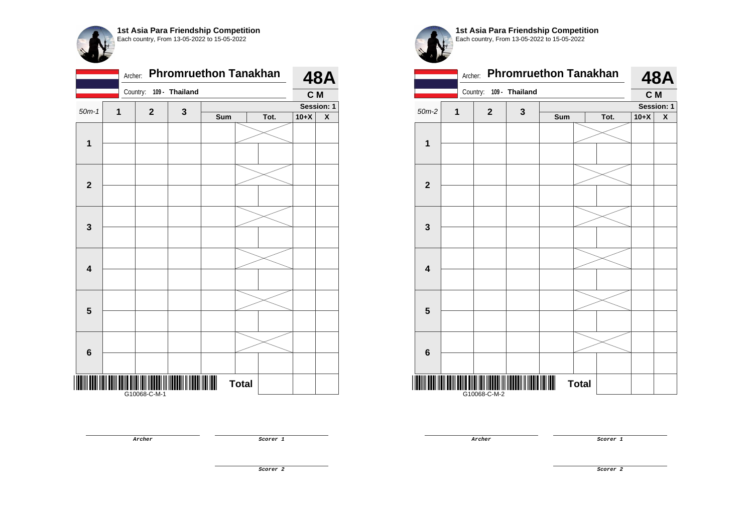

|                         |              | Archer:  |              |                | <b>Phromruethon Tanakhan</b> |              |      |        | <b>48A</b>         |
|-------------------------|--------------|----------|--------------|----------------|------------------------------|--------------|------|--------|--------------------|
|                         |              | Country: |              | 109 - Thailand |                              |              |      | C M    |                    |
| $50m-1$                 | $\mathbf{1}$ |          | $\mathbf 2$  | $\mathbf 3$    |                              |              |      |        | Session: 1         |
|                         |              |          |              |                | Sum                          |              | Tot. | $10+X$ | $\pmb{\mathsf{X}}$ |
|                         |              |          |              |                |                              |              |      |        |                    |
| $\overline{\mathbf{1}}$ |              |          |              |                |                              |              |      |        |                    |
|                         |              |          |              |                |                              |              |      |        |                    |
|                         |              |          |              |                |                              |              |      |        |                    |
| $\mathbf{2}$            |              |          |              |                |                              |              |      |        |                    |
|                         |              |          |              |                |                              |              |      |        |                    |
|                         |              |          |              |                |                              |              |      |        |                    |
|                         |              |          |              |                |                              |              |      |        |                    |
| $\mathbf{3}$            |              |          |              |                |                              |              |      |        |                    |
|                         |              |          |              |                |                              |              |      |        |                    |
|                         |              |          |              |                |                              |              |      |        |                    |
| $\overline{\mathbf{4}}$ |              |          |              |                |                              |              |      |        |                    |
|                         |              |          |              |                |                              |              |      |        |                    |
|                         |              |          |              |                |                              |              |      |        |                    |
| 5                       |              |          |              |                |                              |              |      |        |                    |
|                         |              |          |              |                |                              |              |      |        |                    |
|                         |              |          |              |                |                              |              |      |        |                    |
|                         |              |          |              |                |                              |              |      |        |                    |
| $\bf 6$                 |              |          |              |                |                              |              |      |        |                    |
|                         |              |          |              |                |                              |              |      |        |                    |
|                         |              |          |              |                |                              | <b>Total</b> |      |        |                    |
|                         |              |          | G10068-C-M-1 |                |                              |              |      |        |                    |

**1st Asia Para Friendship Competition** Each country, From 13-05-2022 to 15-05-2022



**Archer Scorer 1**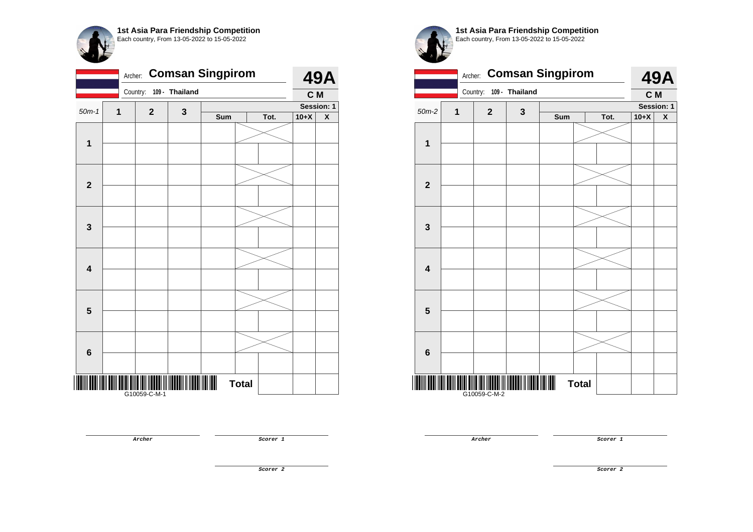

|                         | Archer: |              |                | <b>Comsan Singpirom</b> |              |      |        | <b>49A</b>              |
|-------------------------|---------|--------------|----------------|-------------------------|--------------|------|--------|-------------------------|
|                         |         | Country:     | 109 - Thailand |                         |              |      | C M    |                         |
| $50m-1$                 | 1       | $\mathbf{2}$ | 3              |                         |              |      |        | Session: 1              |
|                         |         |              |                | Sum                     |              | Tot. | $10+X$ | $\overline{\textbf{X}}$ |
|                         |         |              |                |                         |              |      |        |                         |
| $\mathbf 1$             |         |              |                |                         |              |      |        |                         |
|                         |         |              |                |                         |              |      |        |                         |
| $\mathbf{2}$            |         |              |                |                         |              |      |        |                         |
|                         |         |              |                |                         |              |      |        |                         |
| $\mathbf 3$             |         |              |                |                         |              |      |        |                         |
|                         |         |              |                |                         |              |      |        |                         |
| $\overline{\mathbf{4}}$ |         |              |                |                         |              |      |        |                         |
|                         |         |              |                |                         |              |      |        |                         |
| $5\phantom{1}$          |         |              |                |                         |              |      |        |                         |
|                         |         |              |                |                         |              |      |        |                         |
| 6                       |         |              |                |                         |              |      |        |                         |
|                         |         |              |                |                         | <b>Total</b> |      |        |                         |
|                         |         | G10059-C-M-1 |                |                         |              |      |        |                         |



**1st Asia Para Friendship Competition** Each country, From 13-05-2022 to 15-05-2022

|                         | Archer: |              | <b>Comsan Singpirom</b> |     |              |      |        | <b>49A</b>         |
|-------------------------|---------|--------------|-------------------------|-----|--------------|------|--------|--------------------|
|                         |         | Country:     | 109 - Thailand          |     |              |      | C M    |                    |
| $50m-2$                 | 1       | $\mathbf{2}$ | $\mathbf 3$             |     |              |      |        | Session: 1         |
|                         |         |              |                         | Sum |              | Tot. | $10+X$ | $\pmb{\mathsf{X}}$ |
| 1                       |         |              |                         |     |              |      |        |                    |
|                         |         |              |                         |     |              |      |        |                    |
|                         |         |              |                         |     |              |      |        |                    |
| $\mathbf{2}$            |         |              |                         |     |              |      |        |                    |
|                         |         |              |                         |     |              |      |        |                    |
| 3                       |         |              |                         |     |              |      |        |                    |
| $\overline{\mathbf{4}}$ |         |              |                         |     |              |      |        |                    |
|                         |         |              |                         |     |              |      |        |                    |
| 5                       |         |              |                         |     |              |      |        |                    |
|                         |         |              |                         |     |              |      |        |                    |
|                         |         |              |                         |     |              |      |        |                    |
| 6                       |         |              |                         |     |              |      |        |                    |
| ║║                      |         | G10059-C-M-2 |                         |     | <b>Total</b> |      |        |                    |

**Archer Scorer 1**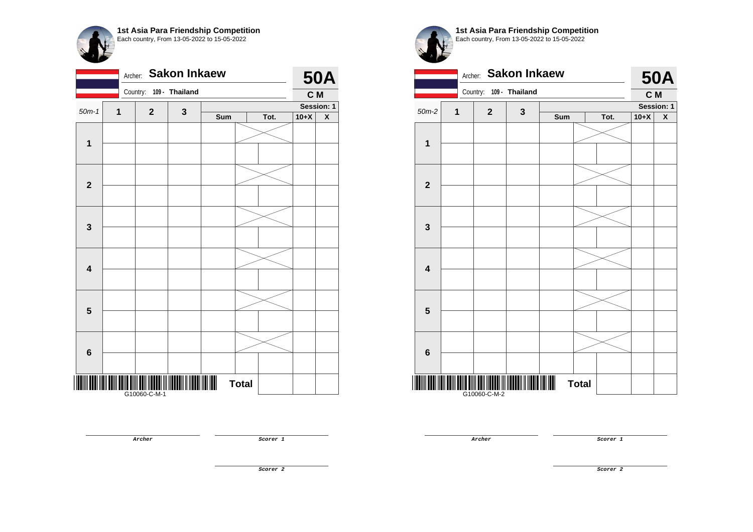

|                         | Archer: |              | <b>Sakon Inkaew</b> |     |              |      |        | <b>50A</b>              |
|-------------------------|---------|--------------|---------------------|-----|--------------|------|--------|-------------------------|
|                         |         | Country:     | 109 - Thailand      |     |              |      | C M    |                         |
| $50m-1$                 | 1       | $\mathbf{2}$ | 3                   |     |              |      |        | Session: 1              |
|                         |         |              |                     | Sum |              | Tot. | $10+X$ | $\overline{\textbf{X}}$ |
|                         |         |              |                     |     |              |      |        |                         |
| $\mathbf 1$             |         |              |                     |     |              |      |        |                         |
| $\mathbf{2}$            |         |              |                     |     |              |      |        |                         |
|                         |         |              |                     |     |              |      |        |                         |
| $\mathbf 3$             |         |              |                     |     |              |      |        |                         |
|                         |         |              |                     |     |              |      |        |                         |
| $\overline{\mathbf{4}}$ |         |              |                     |     |              |      |        |                         |
|                         |         |              |                     |     |              |      |        |                         |
|                         |         |              |                     |     |              |      |        |                         |
| $5\phantom{1}$          |         |              |                     |     |              |      |        |                         |
|                         |         |              |                     |     |              |      |        |                         |
| $\bf 6$                 |         |              |                     |     |              |      |        |                         |
|                         |         |              |                     |     | <b>Total</b> |      |        |                         |
|                         |         |              |                     |     |              |      |        |                         |



|                         | Archer: |              | <b>Sakon Inkaew</b> |     |              |      |        | <b>50A</b>         |
|-------------------------|---------|--------------|---------------------|-----|--------------|------|--------|--------------------|
|                         |         | Country:     | 109 - Thailand      |     |              |      | C M    |                    |
| $50m-2$                 | 1       | $\mathbf{2}$ | $\mathbf 3$         |     |              |      |        | Session: 1         |
|                         |         |              |                     | Sum |              | Tot. | $10+X$ | $\pmb{\mathsf{X}}$ |
| 1                       |         |              |                     |     |              |      |        |                    |
|                         |         |              |                     |     |              |      |        |                    |
|                         |         |              |                     |     |              |      |        |                    |
| $\mathbf{2}$            |         |              |                     |     |              |      |        |                    |
|                         |         |              |                     |     |              |      |        |                    |
| 3                       |         |              |                     |     |              |      |        |                    |
|                         |         |              |                     |     |              |      |        |                    |
| $\overline{\mathbf{4}}$ |         |              |                     |     |              |      |        |                    |
|                         |         |              |                     |     |              |      |        |                    |
| $5\phantom{.0}$         |         |              |                     |     |              |      |        |                    |
|                         |         |              |                     |     |              |      |        |                    |
| $6\phantom{1}$          |         |              |                     |     |              |      |        |                    |
|                         |         | G10060-C-M-2 |                     |     | <b>Total</b> |      |        |                    |

**Archer Scorer 1** 

**Archer Scorer 1** 

**Scorer 2**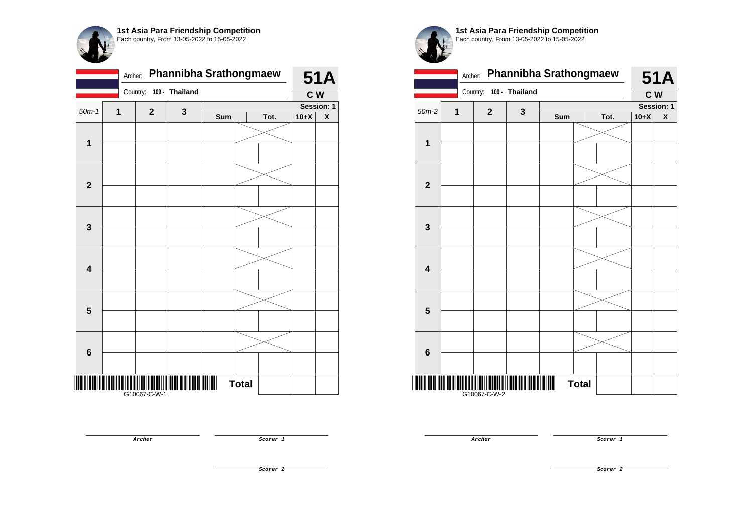

|                         | Archer: |                   |                | Phannibha Srathongmaew |              |      |        | <b>51A</b>         |
|-------------------------|---------|-------------------|----------------|------------------------|--------------|------|--------|--------------------|
|                         |         | Country:          | 109 - Thailand |                        |              |      | C W    |                    |
| $50m-1$                 | 1       | $\mathbf 2$       | 3              |                        |              |      |        | Session: 1         |
|                         |         |                   |                | Sum                    |              | Tot. | $10+X$ | $\pmb{\mathsf{X}}$ |
|                         |         |                   |                |                        |              |      |        |                    |
| $\mathbf{1}$            |         |                   |                |                        |              |      |        |                    |
| $\mathbf{2}$            |         |                   |                |                        |              |      |        |                    |
|                         |         |                   |                |                        |              |      |        |                    |
| $\mathbf{3}$            |         |                   |                |                        |              |      |        |                    |
|                         |         |                   |                |                        |              |      |        |                    |
| $\overline{\mathbf{4}}$ |         |                   |                |                        |              |      |        |                    |
|                         |         |                   |                |                        |              |      |        |                    |
|                         |         |                   |                |                        |              |      |        |                    |
| $5\phantom{1}$          |         |                   |                |                        |              |      |        |                    |
|                         |         |                   |                |                        |              |      |        |                    |
| $6\phantom{1}$          |         |                   |                |                        |              |      |        |                    |
|                         |         |                   |                |                        | <b>Total</b> |      |        |                    |
|                         |         | <br> G10067-C-W-1 |                |                        |              |      |        |                    |

|                         | Archer:  |              |                | Phannibha Srathongmaew |              |      |        | <b>51A</b>              |
|-------------------------|----------|--------------|----------------|------------------------|--------------|------|--------|-------------------------|
|                         | Country: |              | 109 - Thailand |                        |              |      | C W    |                         |
| $50m-2$                 | 1        | $\mathbf 2$  | $\mathbf 3$    |                        |              |      |        | Session: 1              |
|                         |          |              |                | Sum                    |              | Tot. | $10+X$ | $\overline{\mathbf{x}}$ |
|                         |          |              |                |                        |              |      |        |                         |
| 1                       |          |              |                |                        |              |      |        |                         |
|                         |          |              |                |                        |              |      |        |                         |
| $\mathbf{2}$            |          |              |                |                        |              |      |        |                         |
|                         |          |              |                |                        |              |      |        |                         |
| 3                       |          |              |                |                        |              |      |        |                         |
| $\overline{\mathbf{4}}$ |          |              |                |                        |              |      |        |                         |
|                         |          |              |                |                        |              |      |        |                         |
| 5                       |          |              |                |                        |              |      |        |                         |
|                         |          |              |                |                        |              |      |        |                         |
| $6\phantom{1}6$         |          |              |                |                        |              |      |        |                         |
|                         |          |              |                |                        |              |      |        |                         |
|                         |          | G10067-C-W-2 |                |                        | <b>Total</b> |      |        |                         |

**Archer Scorer 1** 

**Archer Scorer 1**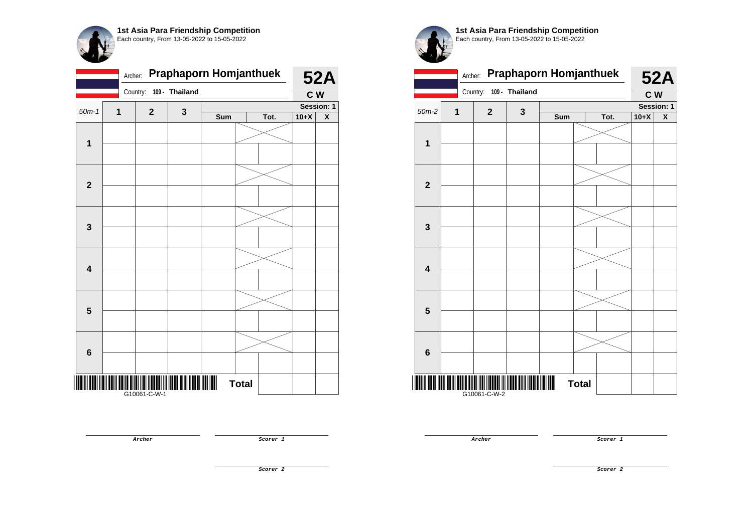

|                         | Archer: |              |                | Praphaporn Homjanthuek |              |      |        | <b>52A</b>         |
|-------------------------|---------|--------------|----------------|------------------------|--------------|------|--------|--------------------|
|                         |         | Country:     | 109 - Thailand |                        |              |      | C W    |                    |
| $50m-1$                 | 1       | $\mathbf{2}$ | 3              |                        |              |      |        | Session: 1         |
|                         |         |              |                | Sum                    |              | Tot. | $10+X$ | $\pmb{\mathsf{X}}$ |
|                         |         |              |                |                        |              |      |        |                    |
| $\mathbf 1$             |         |              |                |                        |              |      |        |                    |
|                         |         |              |                |                        |              |      |        |                    |
|                         |         |              |                |                        |              |      |        |                    |
| $\mathbf{2}$            |         |              |                |                        |              |      |        |                    |
|                         |         |              |                |                        |              |      |        |                    |
|                         |         |              |                |                        |              |      |        |                    |
|                         |         |              |                |                        |              |      |        |                    |
| $\mathbf{3}$            |         |              |                |                        |              |      |        |                    |
|                         |         |              |                |                        |              |      |        |                    |
|                         |         |              |                |                        |              |      |        |                    |
| $\overline{\mathbf{4}}$ |         |              |                |                        |              |      |        |                    |
|                         |         |              |                |                        |              |      |        |                    |
|                         |         |              |                |                        |              |      |        |                    |
| $5\phantom{1}$          |         |              |                |                        |              |      |        |                    |
|                         |         |              |                |                        |              |      |        |                    |
|                         |         |              |                |                        |              |      |        |                    |
|                         |         |              |                |                        |              |      |        |                    |
| $\bf 6$                 |         |              |                |                        |              |      |        |                    |
|                         |         |              |                |                        |              |      |        |                    |
|                         |         |              |                |                        | <b>Total</b> |      |        |                    |
|                         |         | G10061-C-W-1 |                |                        |              |      |        |                    |

Archer: **Praphaporn Homjanthuek**  Country: **109 - Thailand 52A C W** 50m-2 **1 2 3 Session: 1 Sum Tot. 10+X X 1 2 3 4 5 6** <mark>if the memory when the new text new t</mark> G10061-C-W-2 **Total** 

**Archer Scorer 1** 

**Archer Scorer 1** 

**Scorer 2**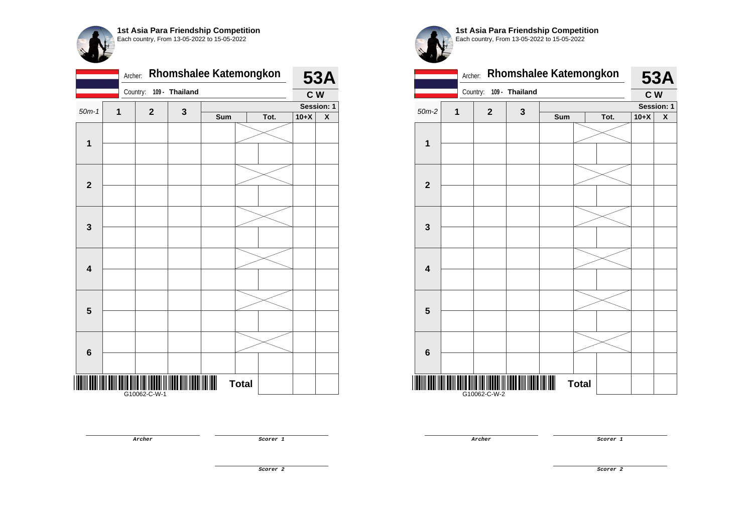

|                         | Archer: |              |                | Rhomshalee Katemongkon |              |      |        | <b>53A</b>         |
|-------------------------|---------|--------------|----------------|------------------------|--------------|------|--------|--------------------|
|                         |         | Country:     | 109 - Thailand |                        |              |      | C W    |                    |
| $50m-1$                 | 1       | $\mathbf 2$  | 3              |                        |              |      |        | Session: 1         |
|                         |         |              |                | Sum                    |              | Tot. | $10+X$ | $\pmb{\mathsf{X}}$ |
|                         |         |              |                |                        |              |      |        |                    |
| $\mathbf 1$             |         |              |                |                        |              |      |        |                    |
|                         |         |              |                |                        |              |      |        |                    |
|                         |         |              |                |                        |              |      |        |                    |
| $\overline{\mathbf{2}}$ |         |              |                |                        |              |      |        |                    |
|                         |         |              |                |                        |              |      |        |                    |
|                         |         |              |                |                        |              |      |        |                    |
|                         |         |              |                |                        |              |      |        |                    |
| $\mathbf 3$             |         |              |                |                        |              |      |        |                    |
|                         |         |              |                |                        |              |      |        |                    |
|                         |         |              |                |                        |              |      |        |                    |
| $\overline{\mathbf{4}}$ |         |              |                |                        |              |      |        |                    |
|                         |         |              |                |                        |              |      |        |                    |
|                         |         |              |                |                        |              |      |        |                    |
| $5\phantom{1}$          |         |              |                |                        |              |      |        |                    |
|                         |         |              |                |                        |              |      |        |                    |
|                         |         |              |                |                        |              |      |        |                    |
|                         |         |              |                |                        |              |      |        |                    |
| $\bf 6$                 |         |              |                |                        |              |      |        |                    |
|                         |         |              |                |                        |              |      |        |                    |
| Ш                       |         |              |                |                        | <b>Total</b> |      |        |                    |
|                         |         | G10062-C-W-1 |                |                        |              |      |        |                    |

**1st Asia Para Friendship Competition** Each country, From 13-05-2022 to 15-05-2022

|                         | Archer:  |              | Rhomshalee Katemongkon |     | <b>53A</b>   |      |        |            |
|-------------------------|----------|--------------|------------------------|-----|--------------|------|--------|------------|
|                         | Country: |              | 109 - Thailand         |     |              |      | C W    |            |
| $50m-2$                 | 1        | $\mathbf 2$  | $\mathbf{3}$           |     |              |      |        | Session: 1 |
|                         |          |              |                        | Sum |              | Tot. | $10+X$ | X          |
| $\mathbf 1$             |          |              |                        |     |              |      |        |            |
|                         |          |              |                        |     |              |      |        |            |
|                         |          |              |                        |     |              |      |        |            |
| $\overline{\mathbf{2}}$ |          |              |                        |     |              |      |        |            |
|                         |          |              |                        |     |              |      |        |            |
| 3                       |          |              |                        |     |              |      |        |            |
|                         |          |              |                        |     |              |      |        |            |
| $\overline{\mathbf{4}}$ |          |              |                        |     |              |      |        |            |
|                         |          |              |                        |     |              |      |        |            |
|                         |          |              |                        |     |              |      |        |            |
| 5                       |          |              |                        |     |              |      |        |            |
|                         |          |              |                        |     |              |      |        |            |
| $6\phantom{1}$          |          |              |                        |     |              |      |        |            |
|                         |          |              |                        |     |              |      |        |            |
|                         |          | G10062-C-W-2 |                        |     | <b>Total</b> |      |        |            |

**Archer Scorer 1**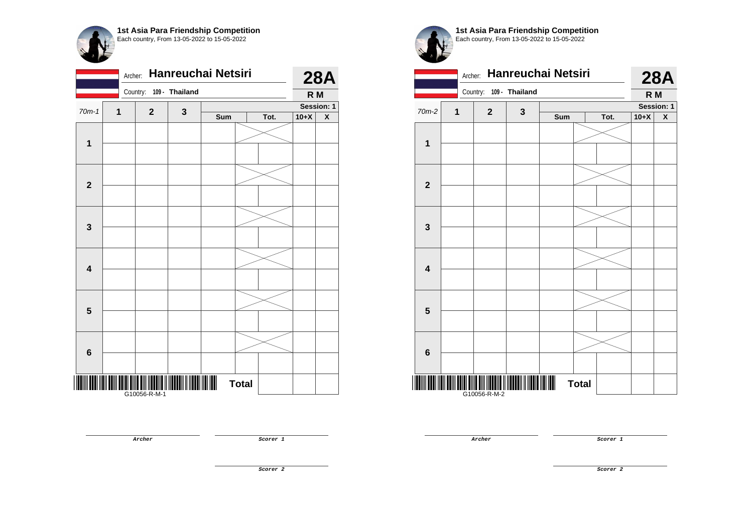|                         |   |              |                |     | Hanreuchai Netsiri |      |        | <b>28A</b>              |
|-------------------------|---|--------------|----------------|-----|--------------------|------|--------|-------------------------|
|                         |   | Country:     | 109 - Thailand |     |                    |      | R M    |                         |
| $70m-1$                 | 1 | $\mathbf{2}$ | 3              |     |                    |      |        | Session: 1              |
|                         |   |              |                | Sum |                    | Tot. | $10+X$ | $\overline{\textbf{X}}$ |
|                         |   |              |                |     |                    |      |        |                         |
| $\mathbf{1}$            |   |              |                |     |                    |      |        |                         |
|                         |   |              |                |     |                    |      |        |                         |
|                         |   |              |                |     |                    |      |        |                         |
| $\mathbf{2}$            |   |              |                |     |                    |      |        |                         |
|                         |   |              |                |     |                    |      |        |                         |
| $\mathbf{3}$            |   |              |                |     |                    |      |        |                         |
|                         |   |              |                |     |                    |      |        |                         |
|                         |   |              |                |     |                    |      |        |                         |
| $\overline{\mathbf{4}}$ |   |              |                |     |                    |      |        |                         |
|                         |   |              |                |     |                    |      |        |                         |
|                         |   |              |                |     |                    |      |        |                         |
| $5\phantom{1}$          |   |              |                |     |                    |      |        |                         |
|                         |   |              |                |     |                    |      |        |                         |
|                         |   |              |                |     |                    |      |        |                         |
| 6                       |   |              |                |     |                    |      |        |                         |
|                         |   |              |                |     |                    |      |        |                         |
|                         |   | G10056-R-M-1 |                |     | <b>Total</b>       |      |        |                         |



**1st Asia Para Friendship Competition** Each country, From 13-05-2022 to 15-05-2022

|                         | Archer: |                         | Hanreuchai Netsiri |     |              |      |        | <b>28A</b> |
|-------------------------|---------|-------------------------|--------------------|-----|--------------|------|--------|------------|
|                         |         | Country: 109 - Thailand |                    |     |              |      | R M    |            |
| 70m-2                   | 1       | $\mathbf{2}$            | $\mathbf{3}$       |     |              |      |        | Session: 1 |
|                         |         |                         |                    | Sum |              | Tot. | $10+X$ | X          |
| 1                       |         |                         |                    |     |              |      |        |            |
|                         |         |                         |                    |     |              |      |        |            |
|                         |         |                         |                    |     |              |      |        |            |
| $\overline{\mathbf{2}}$ |         |                         |                    |     |              |      |        |            |
|                         |         |                         |                    |     |              |      |        |            |
| $\mathbf{3}$            |         |                         |                    |     |              |      |        |            |
|                         |         |                         |                    |     |              |      |        |            |
| $\overline{\mathbf{4}}$ |         |                         |                    |     |              |      |        |            |
|                         |         |                         |                    |     |              |      |        |            |
| 5                       |         |                         |                    |     |              |      |        |            |
|                         |         |                         |                    |     |              |      |        |            |
| $6\phantom{1}6$         |         |                         |                    |     |              |      |        |            |
|                         |         | G10056-R-M-2            |                    |     | <b>Total</b> |      |        |            |

**Archer Scorer 1** 

**Scorer 2**

**Archer Scorer 1**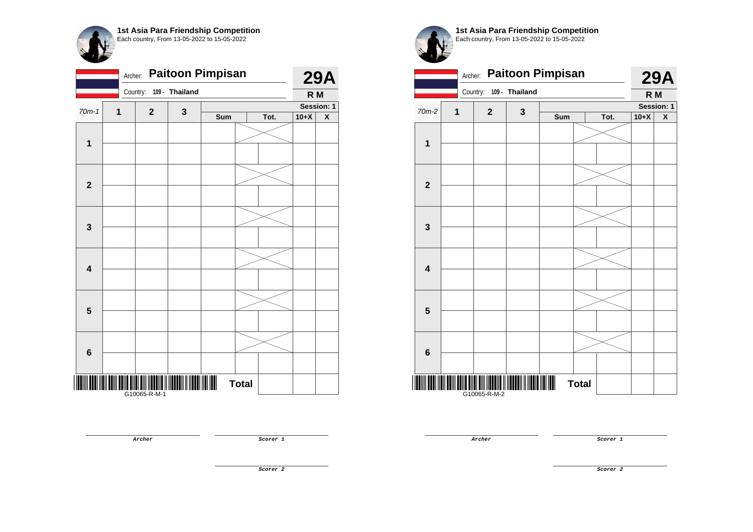

| <b>Paitoon Pimpisan</b><br>Archer: |   |              |                |     |              |      | <b>29A</b> |                    |
|------------------------------------|---|--------------|----------------|-----|--------------|------|------------|--------------------|
|                                    |   | Country:     | 109 - Thailand |     |              |      | R M        |                    |
| $70m-1$                            | 1 | $\mathbf 2$  | 3              |     |              |      |            | Session: 1         |
|                                    |   |              |                | Sum |              | Tot. | $10+X$     | $\pmb{\mathsf{X}}$ |
|                                    |   |              |                |     |              |      |            |                    |
| $\mathbf{1}$                       |   |              |                |     |              |      |            |                    |
|                                    |   |              |                |     |              |      |            |                    |
|                                    |   |              |                |     |              |      |            |                    |
| $\mathbf{2}$                       |   |              |                |     |              |      |            |                    |
|                                    |   |              |                |     |              |      |            |                    |
|                                    |   |              |                |     |              |      |            |                    |
| 3                                  |   |              |                |     |              |      |            |                    |
|                                    |   |              |                |     |              |      |            |                    |
|                                    |   |              |                |     |              |      |            |                    |
|                                    |   |              |                |     |              |      |            |                    |
| $\overline{\mathbf{4}}$            |   |              |                |     |              |      |            |                    |
|                                    |   |              |                |     |              |      |            |                    |
|                                    |   |              |                |     |              |      |            |                    |
| $\overline{\mathbf{5}}$            |   |              |                |     |              |      |            |                    |
|                                    |   |              |                |     |              |      |            |                    |
|                                    |   |              |                |     |              |      |            |                    |
| 6                                  |   |              |                |     |              |      |            |                    |
|                                    |   |              |                |     |              |      |            |                    |
|                                    |   |              |                |     |              |      |            |                    |
|                                    |   | G10065-R-M-1 |                | III | <b>Total</b> |      |            |                    |

|                         | <b>Paitoon Pimpisan</b><br>Archer: |              |                |     |              |      |            |                    |
|-------------------------|------------------------------------|--------------|----------------|-----|--------------|------|------------|--------------------|
|                         |                                    | Country:     | 109 - Thailand |     |              |      | R M        | <b>29A</b>         |
| 70m-2                   | 1                                  | $\mathbf{2}$ | $\mathbf{3}$   |     |              |      | Session: 1 |                    |
|                         |                                    |              |                | Sum |              | Tot. | $10+X$     | $\pmb{\mathsf{X}}$ |
| $\mathbf 1$             |                                    |              |                |     |              |      |            |                    |
|                         |                                    |              |                |     |              |      |            |                    |
|                         |                                    |              |                |     |              |      |            |                    |
| $\overline{\mathbf{2}}$ |                                    |              |                |     |              |      |            |                    |
|                         |                                    |              |                |     |              |      |            |                    |
| 3                       |                                    |              |                |     |              |      |            |                    |
|                         |                                    |              |                |     |              |      |            |                    |
| $\overline{\mathbf{4}}$ |                                    |              |                |     |              |      |            |                    |
|                         |                                    |              |                |     |              |      |            |                    |
| 5                       |                                    |              |                |     |              |      |            |                    |
|                         |                                    |              |                |     |              |      |            |                    |
| $6\phantom{1}$          |                                    |              |                |     |              |      |            |                    |
|                         |                                    | G10065-R-M-2 |                |     | <b>Total</b> |      |            |                    |

**Archer Scorer 1** 

**Archer Scorer 1**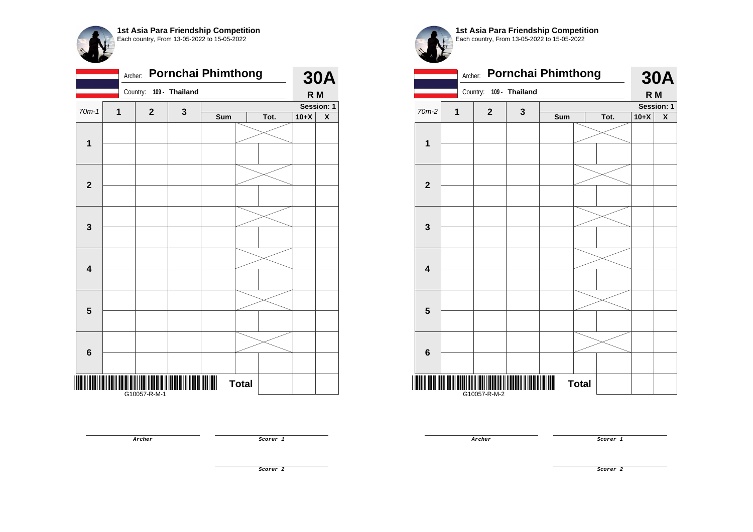

|                         | <b>Pornchai Phimthong</b><br>Archer: |              |                |     |              |      |        | <b>30A</b>              |  |
|-------------------------|--------------------------------------|--------------|----------------|-----|--------------|------|--------|-------------------------|--|
|                         |                                      | Country:     | 109 - Thailand |     |              |      | R M    |                         |  |
| $70m-1$                 | 1                                    | $\mathbf 2$  | 3              |     |              |      |        | Session: 1              |  |
|                         |                                      |              |                | Sum |              | Tot. | $10+X$ | $\overline{\textbf{X}}$ |  |
|                         |                                      |              |                |     |              |      |        |                         |  |
| $\mathbf{1}$            |                                      |              |                |     |              |      |        |                         |  |
|                         |                                      |              |                |     |              |      |        |                         |  |
|                         |                                      |              |                |     |              |      |        |                         |  |
| $\mathbf{2}$            |                                      |              |                |     |              |      |        |                         |  |
|                         |                                      |              |                |     |              |      |        |                         |  |
|                         |                                      |              |                |     |              |      |        |                         |  |
|                         |                                      |              |                |     |              |      |        |                         |  |
| $\mathbf 3$             |                                      |              |                |     |              |      |        |                         |  |
|                         |                                      |              |                |     |              |      |        |                         |  |
|                         |                                      |              |                |     |              |      |        |                         |  |
| $\overline{\mathbf{4}}$ |                                      |              |                |     |              |      |        |                         |  |
|                         |                                      |              |                |     |              |      |        |                         |  |
|                         |                                      |              |                |     |              |      |        |                         |  |
| $\overline{\mathbf{5}}$ |                                      |              |                |     |              |      |        |                         |  |
|                         |                                      |              |                |     |              |      |        |                         |  |
|                         |                                      |              |                |     |              |      |        |                         |  |
|                         |                                      |              |                |     |              |      |        |                         |  |
| $6\phantom{1}$          |                                      |              |                |     |              |      |        |                         |  |
|                         |                                      |              |                |     |              |      |        |                         |  |
|                         |                                      |              |                |     | <b>Total</b> |      |        |                         |  |
|                         |                                      | G10057-R-M-1 |                |     |              |      |        |                         |  |

**1st Asia Para Friendship Competition** Each country, From 13-05-2022 to 15-05-2022

|                         | Archer: | <b>Pornchai Phimthong</b> |             | <b>30A</b> |              |            |                |                    |
|-------------------------|---------|---------------------------|-------------|------------|--------------|------------|----------------|--------------------|
|                         |         | Country: 109 - Thailand   |             |            |              |            | R <sub>M</sub> |                    |
| $70m-2$                 | 1       | $\mathbf{2}$              | $\mathbf 3$ |            |              | Session: 1 |                |                    |
|                         |         |                           |             | Sum        |              | Tot.       | $10+X$         | $\pmb{\mathsf{X}}$ |
|                         |         |                           |             |            |              |            |                |                    |
| 1                       |         |                           |             |            |              |            |                |                    |
|                         |         |                           |             |            |              |            |                |                    |
| $\overline{2}$          |         |                           |             |            |              |            |                |                    |
|                         |         |                           |             |            |              |            |                |                    |
| 3                       |         |                           |             |            |              |            |                |                    |
| $\overline{\mathbf{4}}$ |         |                           |             |            |              |            |                |                    |
|                         |         |                           |             |            |              |            |                |                    |
| 5                       |         |                           |             |            |              |            |                |                    |
|                         |         |                           |             |            |              |            |                |                    |
|                         |         |                           |             |            |              |            |                |                    |
| $6\phantom{1}$          |         |                           |             |            |              |            |                |                    |
| ║║                      |         | G10057-R-M-2              |             |            | <b>Total</b> |            |                |                    |

**Archer Scorer 1** 

**Scorer 2**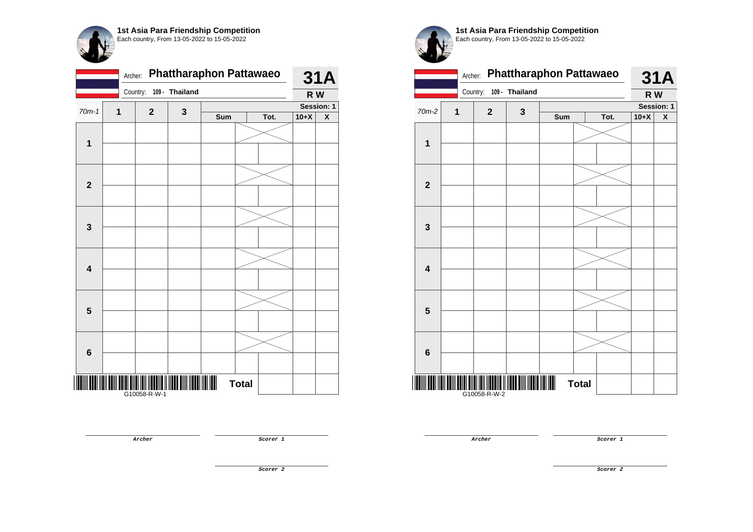| 1st Asia Para Friendship Competition<br>Each country, From 13-05-2022 to 15-05-2022 |  |  |  |  |  |  |  |  |  |  |
|-------------------------------------------------------------------------------------|--|--|--|--|--|--|--|--|--|--|
| Archer: Phattharaphon Pattawaeo<br>109 - Thailand<br>Country:                       |  |  |  |  |  |  |  |  |  |  |
| $70m-1$<br>2<br>1<br>3                                                              |  |  |  |  |  |  |  |  |  |  |
| Sum<br>Tot.                                                                         |  |  |  |  |  |  |  |  |  |  |

| Tot.<br>X<br>Sum<br>$\mathbf{1}$<br>$\mathbf{2}$                 | $70m-1$ | $\overline{1}$ |              |   |  |        | <b>Session: 1</b> |
|------------------------------------------------------------------|---------|----------------|--------------|---|--|--------|-------------------|
|                                                                  |         |                | $\mathbf{2}$ | 3 |  | $10+X$ |                   |
|                                                                  |         |                |              |   |  |        |                   |
|                                                                  |         |                |              |   |  |        |                   |
|                                                                  |         |                |              |   |  |        |                   |
|                                                                  |         |                |              |   |  |        |                   |
|                                                                  |         |                |              |   |  |        |                   |
|                                                                  |         |                |              |   |  |        |                   |
|                                                                  |         |                |              |   |  |        |                   |
|                                                                  |         |                |              |   |  |        |                   |
|                                                                  |         |                |              |   |  |        |                   |
| $\mathbf 3$                                                      |         |                |              |   |  |        |                   |
|                                                                  |         |                |              |   |  |        |                   |
|                                                                  |         |                |              |   |  |        |                   |
| $\overline{\mathbf{4}}$                                          |         |                |              |   |  |        |                   |
|                                                                  |         |                |              |   |  |        |                   |
|                                                                  |         |                |              |   |  |        |                   |
|                                                                  |         |                |              |   |  |        |                   |
| $\overline{\mathbf{5}}$                                          |         |                |              |   |  |        |                   |
|                                                                  |         |                |              |   |  |        |                   |
|                                                                  |         |                |              |   |  |        |                   |
|                                                                  |         |                |              |   |  |        |                   |
| $\bf 6$                                                          |         |                |              |   |  |        |                   |
|                                                                  |         |                |              |   |  |        |                   |
| $\begin{array}{c} \hline \textbf{m} \end{array}$<br><b>Total</b> |         |                |              |   |  |        |                   |
|                                                                  |         |                |              |   |  |        |                   |

|                         | Archer: |                |                | <b>Phattharaphon Pattawaeo</b> |              |      |        | <b>31A</b> |
|-------------------------|---------|----------------|----------------|--------------------------------|--------------|------|--------|------------|
|                         |         | Country:       | 109 - Thailand |                                |              |      | R W    |            |
| 70m-2                   | 1       | $\overline{2}$ | $\mathbf{3}$   |                                |              |      |        | Session: 1 |
|                         |         |                |                | Sum                            |              | Tot. | $10+X$ | X          |
| 1                       |         |                |                |                                |              |      |        |            |
|                         |         |                |                |                                |              |      |        |            |
| $\mathbf{2}$            |         |                |                |                                |              |      |        |            |
|                         |         |                |                |                                |              |      |        |            |
|                         |         |                |                |                                |              |      |        |            |
| 3                       |         |                |                |                                |              |      |        |            |
|                         |         |                |                |                                |              |      |        |            |
| $\overline{\mathbf{4}}$ |         |                |                |                                |              |      |        |            |
|                         |         |                |                |                                |              |      |        |            |
| 5                       |         |                |                |                                |              |      |        |            |
|                         |         |                |                |                                |              |      |        |            |
| 6                       |         |                |                |                                |              |      |        |            |
|                         |         | G10058-R-W-2   |                |                                | <b>Total</b> |      |        |            |

**Archer Scorer 1** 

**31A R W**

**Archer Scorer 1** 

**Scorer 2**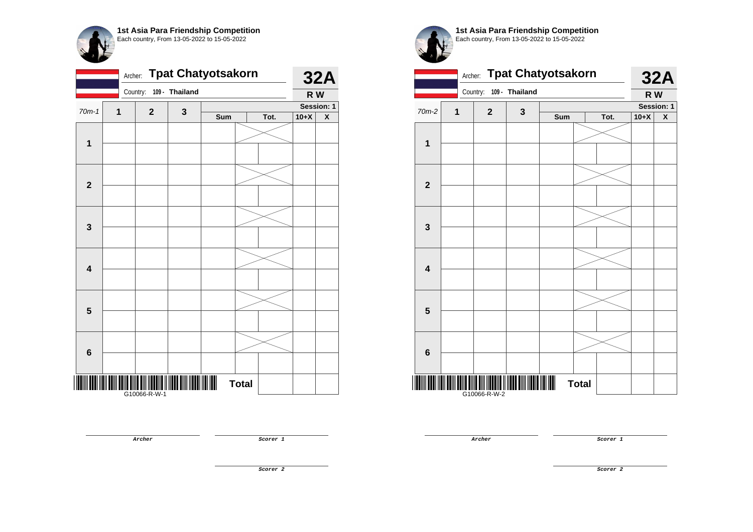

|                         | <b>Tpat Chatyotsakorn</b><br>Archer: |              |                |     |              |      |        |            |
|-------------------------|--------------------------------------|--------------|----------------|-----|--------------|------|--------|------------|
|                         |                                      | Country:     | 109 - Thailand |     |              |      | R W    | <b>32A</b> |
| $70m-1$                 | $\mathbf{1}$                         | $\mathbf{2}$ | $\mathbf{3}$   |     |              |      |        | Session: 1 |
|                         |                                      |              |                | Sum |              | Tot. | $10+X$ | X          |
| $\mathbf{1}$            |                                      |              |                |     |              |      |        |            |
|                         |                                      |              |                |     |              |      |        |            |
|                         |                                      |              |                |     |              |      |        |            |
| $\mathbf{2}$            |                                      |              |                |     |              |      |        |            |
|                         |                                      |              |                |     |              |      |        |            |
| $\mathbf 3$             |                                      |              |                |     |              |      |        |            |
|                         |                                      |              |                |     |              |      |        |            |
| $\overline{\mathbf{4}}$ |                                      |              |                |     |              |      |        |            |
|                         |                                      |              |                |     |              |      |        |            |
| $\overline{\mathbf{5}}$ |                                      |              |                |     |              |      |        |            |
|                         |                                      |              |                |     |              |      |        |            |
| 6                       |                                      |              |                |     |              |      |        |            |
|                         |                                      |              |                |     |              |      |        |            |
|                         |                                      | G10066-R-W-1 |                |     | <b>Total</b> |      |        |            |



|                         | <b>Tpat Chatyotsakorn</b><br>Archer: |              |                |     |              |            |        |            |
|-------------------------|--------------------------------------|--------------|----------------|-----|--------------|------------|--------|------------|
|                         |                                      | Country:     | 109 - Thailand |     |              |            | R W    | <b>32A</b> |
| 70m-2                   | 1                                    | $\mathbf{2}$ | $\mathbf{3}$   |     |              | Session: 1 |        |            |
|                         |                                      |              |                | Sum |              | Tot.       | $10+X$ | X          |
| $\mathbf{1}$            |                                      |              |                |     |              |            |        |            |
|                         |                                      |              |                |     |              |            |        |            |
|                         |                                      |              |                |     |              |            |        |            |
| $\mathbf{2}$            |                                      |              |                |     |              |            |        |            |
|                         |                                      |              |                |     |              |            |        |            |
| 3                       |                                      |              |                |     |              |            |        |            |
| $\overline{\mathbf{4}}$ |                                      |              |                |     |              |            |        |            |
|                         |                                      |              |                |     |              |            |        |            |
| 5                       |                                      |              |                |     |              |            |        |            |
|                         |                                      |              |                |     |              |            |        |            |
|                         |                                      |              |                |     |              |            |        |            |
| $6\phantom{1}$          |                                      |              |                |     |              |            |        |            |
|                         |                                      |              |                |     | <b>Total</b> |            |        |            |
|                         |                                      | G10066-R-W-2 |                |     |              |            |        |            |

**Archer Scorer 1** 

**Archer Scorer 1** 

**Scorer 2**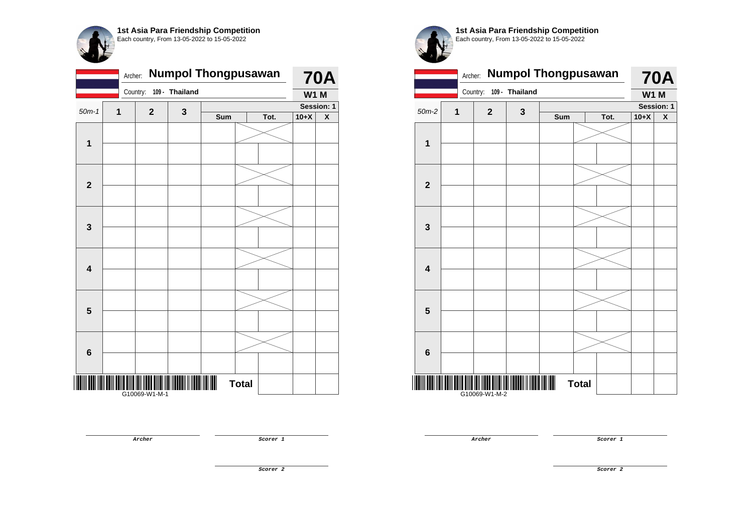

|                         | <b>Numpol Thongpusawan</b><br>Archer: |               |                |     |              |      |             | <b>70A</b>              |
|-------------------------|---------------------------------------|---------------|----------------|-----|--------------|------|-------------|-------------------------|
|                         |                                       | Country:      | 109 - Thailand |     |              |      | <b>W1 M</b> |                         |
| $50m-1$                 | 1                                     | $\mathbf 2$   | 3              |     |              |      |             | Session: 1              |
|                         |                                       |               |                | Sum |              | Tot. | $10+X$      | $\overline{\textbf{X}}$ |
|                         |                                       |               |                |     |              |      |             |                         |
| $\mathbf 1$             |                                       |               |                |     |              |      |             |                         |
|                         |                                       |               |                |     |              |      |             |                         |
|                         |                                       |               |                |     |              |      |             |                         |
| $\mathbf{2}$            |                                       |               |                |     |              |      |             |                         |
|                         |                                       |               |                |     |              |      |             |                         |
|                         |                                       |               |                |     |              |      |             |                         |
| $\mathbf 3$             |                                       |               |                |     |              |      |             |                         |
|                         |                                       |               |                |     |              |      |             |                         |
|                         |                                       |               |                |     |              |      |             |                         |
|                         |                                       |               |                |     |              |      |             |                         |
| $\overline{\mathbf{4}}$ |                                       |               |                |     |              |      |             |                         |
|                         |                                       |               |                |     |              |      |             |                         |
|                         |                                       |               |                |     |              |      |             |                         |
| $\overline{\mathbf{5}}$ |                                       |               |                |     |              |      |             |                         |
|                         |                                       |               |                |     |              |      |             |                         |
|                         |                                       |               |                |     |              |      |             |                         |
| $\bf 6$                 |                                       |               |                |     |              |      |             |                         |
|                         |                                       |               |                |     |              |      |             |                         |
|                         |                                       |               |                |     |              |      |             |                         |
|                         |                                       | G10069-W1-M-1 |                |     | <b>Total</b> |      |             |                         |

|                         | <b>Numpol Thongpusawan</b> | <b>70A</b>     |                |     |              |      |             |                    |
|-------------------------|----------------------------|----------------|----------------|-----|--------------|------|-------------|--------------------|
|                         |                            | Country:       | 109 - Thailand |     |              |      | <b>W1 M</b> |                    |
| $50m-2$                 | 1                          | $\overline{2}$ | 3              |     |              |      | Session: 1  |                    |
|                         |                            |                |                | Sum |              | Tot. | $10+X$      | $\pmb{\mathsf{X}}$ |
|                         |                            |                |                |     |              |      |             |                    |
| 1                       |                            |                |                |     |              |      |             |                    |
|                         |                            |                |                |     |              |      |             |                    |
| $\mathbf{2}$            |                            |                |                |     |              |      |             |                    |
|                         |                            |                |                |     |              |      |             |                    |
| 3                       |                            |                |                |     |              |      |             |                    |
|                         |                            |                |                |     |              |      |             |                    |
| $\overline{\mathbf{4}}$ |                            |                |                |     |              |      |             |                    |
|                         |                            |                |                |     |              |      |             |                    |
| 5                       |                            |                |                |     |              |      |             |                    |
|                         |                            |                |                |     |              |      |             |                    |
|                         |                            |                |                |     |              |      |             |                    |
| $6\phantom{1}6$         |                            |                |                |     |              |      |             |                    |
|                         |                            | G10069-W1-M-2  |                |     | <b>Total</b> |      |             |                    |

**Archer Scorer 1** 

**Scorer 2**

**Archer Scorer 1**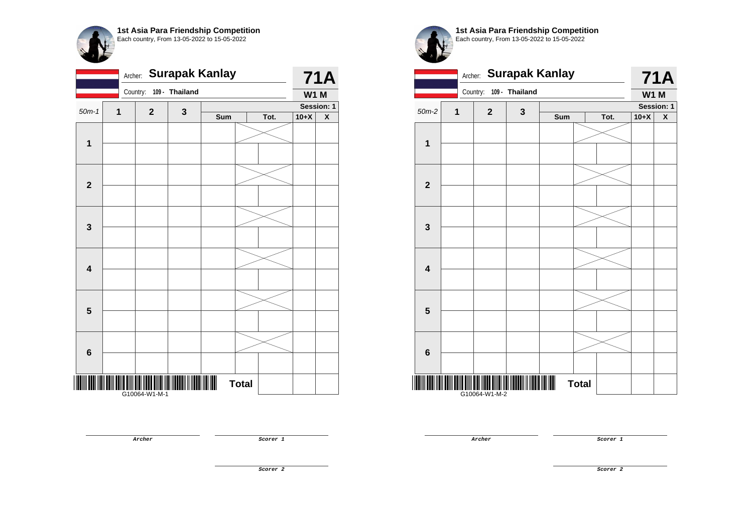|                         | <b>Surapak Kanlay</b><br>Archer: |               |                |     |              |      |             |                    |
|-------------------------|----------------------------------|---------------|----------------|-----|--------------|------|-------------|--------------------|
|                         |                                  | Country:      | 109 - Thailand |     |              |      | <b>W1 M</b> |                    |
| $50m-1$                 | 1                                | $\mathbf 2$   | 3              |     |              |      |             | Session: 1         |
|                         |                                  |               |                | Sum |              | Tot. | $10+X$      | $\pmb{\mathsf{X}}$ |
|                         |                                  |               |                |     |              |      |             |                    |
| $\mathbf{1}$            |                                  |               |                |     |              |      |             |                    |
|                         |                                  |               |                |     |              |      |             |                    |
|                         |                                  |               |                |     |              |      |             |                    |
| $\mathbf{2}$            |                                  |               |                |     |              |      |             |                    |
|                         |                                  |               |                |     |              |      |             |                    |
|                         |                                  |               |                |     |              |      |             |                    |
| $\mathbf{3}$            |                                  |               |                |     |              |      |             |                    |
|                         |                                  |               |                |     |              |      |             |                    |
|                         |                                  |               |                |     |              |      |             |                    |
| $\overline{\mathbf{4}}$ |                                  |               |                |     |              |      |             |                    |
|                         |                                  |               |                |     |              |      |             |                    |
|                         |                                  |               |                |     |              |      |             |                    |
| $\overline{\mathbf{5}}$ |                                  |               |                |     |              |      |             |                    |
|                         |                                  |               |                |     |              |      |             |                    |
|                         |                                  |               |                |     |              |      |             |                    |
| $6\phantom{1}$          |                                  |               |                |     |              |      |             |                    |
|                         |                                  |               |                |     |              |      |             |                    |
|                         |                                  |               |                |     |              |      |             |                    |
|                         |                                  | G10064-W1-M-1 |                |     | <b>Total</b> |      |             |                    |
|                         |                                  |               |                |     |              |      |             |                    |

**1st Asia Para Friendship Competition** Each country, From 13-05-2022 to 15-05-2022

| <b>Surapak Kanlay</b><br>Archer: |   |               |             |     |              |      | <b>71A</b> |                    |  |  |
|----------------------------------|---|---------------|-------------|-----|--------------|------|------------|--------------------|--|--|
| 109 - Thailand<br>Country:       |   |               |             |     |              |      |            | <b>W1 M</b>        |  |  |
| $50m-2$                          | 1 | $\mathbf{2}$  | $\mathbf 3$ |     |              |      | Session: 1 |                    |  |  |
|                                  |   |               |             | Sum |              | Tot. | $10+X$     | $\pmb{\mathsf{X}}$ |  |  |
|                                  |   |               |             |     |              |      |            |                    |  |  |
| $\mathbf 1$                      |   |               |             |     |              |      |            |                    |  |  |
|                                  |   |               |             |     |              |      |            |                    |  |  |
| $\overline{\mathbf{2}}$          |   |               |             |     |              |      |            |                    |  |  |
|                                  |   |               |             |     |              |      |            |                    |  |  |
| $\mathbf{3}$                     |   |               |             |     |              |      |            |                    |  |  |
|                                  |   |               |             |     |              |      |            |                    |  |  |
| $\overline{\mathbf{4}}$          |   |               |             |     |              |      |            |                    |  |  |
|                                  |   |               |             |     |              |      |            |                    |  |  |
| $5\phantom{.0}$                  |   |               |             |     |              |      |            |                    |  |  |
|                                  |   |               |             |     |              |      |            |                    |  |  |
| $\bf 6$                          |   |               |             |     |              |      |            |                    |  |  |
|                                  |   | G10064-W1-M-2 |             |     | <b>Total</b> |      |            |                    |  |  |

**Archer Scorer 1** 

**Archer Scorer 1** 

**Scorer 2**